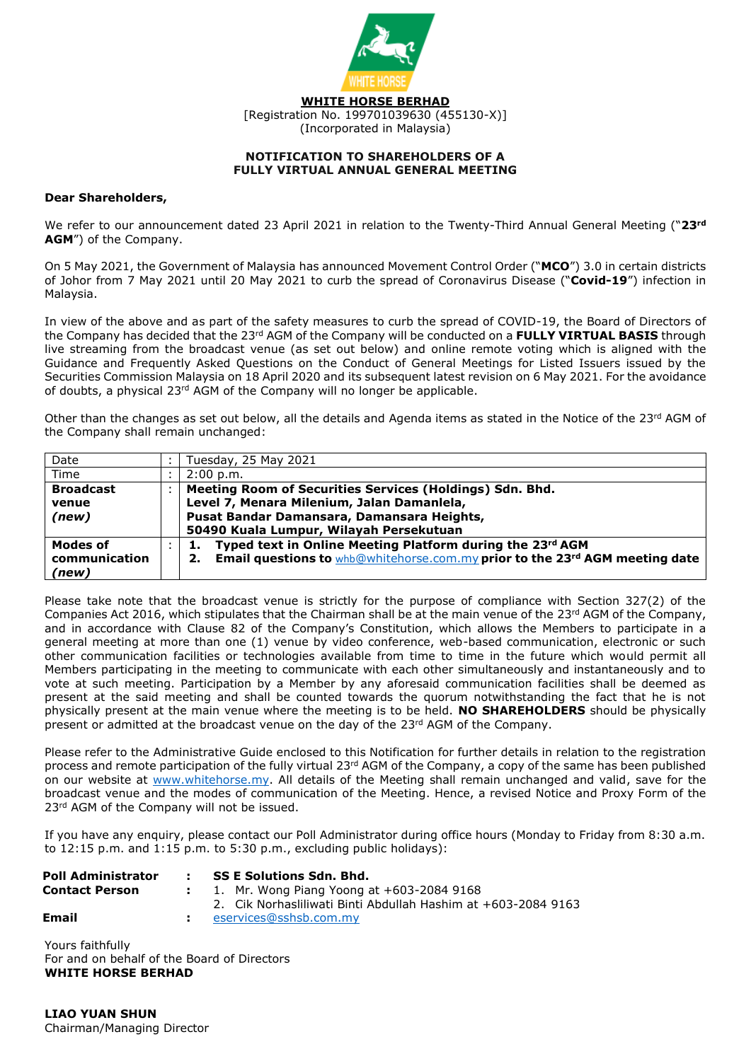

#### **NOTIFICATION TO SHAREHOLDERS OF A FULLY VIRTUAL ANNUAL GENERAL MEETING**

#### **Dear Shareholders,**

We refer to our announcement dated 23 April 2021 in relation to the Twenty-Third Annual General Meeting ("**23rd AGM**") of the Company.

On 5 May 2021, the Government of Malaysia has announced Movement Control Order ("**MCO**") 3.0 in certain districts of Johor from 7 May 2021 until 20 May 2021 to curb the spread of Coronavirus Disease ("**Covid-19**") infection in Malaysia.

In view of the above and as part of the safety measures to curb the spread of COVID-19, the Board of Directors of the Company has decided that the 23rd AGM of the Company will be conducted on a **FULLY VIRTUAL BASIS** through live streaming from the broadcast venue (as set out below) and online remote voting which is aligned with the Guidance and Frequently Asked Questions on the Conduct of General Meetings for Listed Issuers issued by the Securities Commission Malaysia on 18 April 2020 and its subsequent latest revision on 6 May 2021. For the avoidance of doubts, a physical 23<sup>rd</sup> AGM of the Company will no longer be applicable.

Other than the changes as set out below, all the details and Agenda items as stated in the Notice of the  $23rd$  AGM of the Company shall remain unchanged:

| Date             | Tuesday, 25 May 2021                                                        |  |  |
|------------------|-----------------------------------------------------------------------------|--|--|
| Time             | 2:00 p.m.                                                                   |  |  |
| <b>Broadcast</b> | Meeting Room of Securities Services (Holdings) Sdn. Bhd.                    |  |  |
| venue            | Level 7, Menara Milenium, Jalan Damanlela,                                  |  |  |
| (new)            | Pusat Bandar Damansara, Damansara Heights,                                  |  |  |
|                  | 50490 Kuala Lumpur, Wilayah Persekutuan                                     |  |  |
| Modes of         | Typed text in Online Meeting Platform during the 23rd AGM                   |  |  |
| communication    | Email questions to whb@whitehorse.com.my prior to the 23rd AGM meeting date |  |  |
| (new)            |                                                                             |  |  |

Please take note that the broadcast venue is strictly for the purpose of compliance with Section 327(2) of the Companies Act 2016, which stipulates that the Chairman shall be at the main venue of the 23<sup>rd</sup> AGM of the Company, and in accordance with Clause 82 of the Company's Constitution, which allows the Members to participate in a general meeting at more than one (1) venue by video conference, web-based communication, electronic or such other communication facilities or technologies available from time to time in the future which would permit all Members participating in the meeting to communicate with each other simultaneously and instantaneously and to vote at such meeting. Participation by a Member by any aforesaid communication facilities shall be deemed as present at the said meeting and shall be counted towards the quorum notwithstanding the fact that he is not physically present at the main venue where the meeting is to be held. **NO SHAREHOLDERS** should be physically present or admitted at the broadcast venue on the day of the  $23^{rd}$  AGM of the Company.

Please refer to the Administrative Guide enclosed to this Notification for further details in relation to the registration process and remote participation of the fully virtual  $23rd$  AGM of the Company, a copy of the same has been published on our website at [www.whitehorse.my.](http://www.whitehorse.my/) All details of the Meeting shall remain unchanged and valid, save for the broadcast venue and the modes of communication of the Meeting. Hence, a revised Notice and Proxy Form of the 23<sup>rd</sup> AGM of the Company will not be issued.

If you have any enquiry, please contact our Poll Administrator during office hours (Monday to Friday from 8:30 a.m. to 12:15 p.m. and 1:15 p.m. to 5:30 p.m., excluding public holidays):

| Poll Administrator | <b>SS E Solutions Sdn. Bhd.</b>                               |  |
|--------------------|---------------------------------------------------------------|--|
| Contact Person     | 1. Mr. Wong Piang Yoong at $+603-20849168$                    |  |
|                    | 2. Cik Norhasliliwati Binti Abdullah Hashim at +603-2084 9163 |  |
| Email              | eservices@sshsb.com.my                                        |  |
|                    |                                                               |  |

Yours faithfully For and on behalf of the Board of Directors **WHITE HORSE BERHAD**

**LIAO YUAN SHUN** Chairman/Managing Director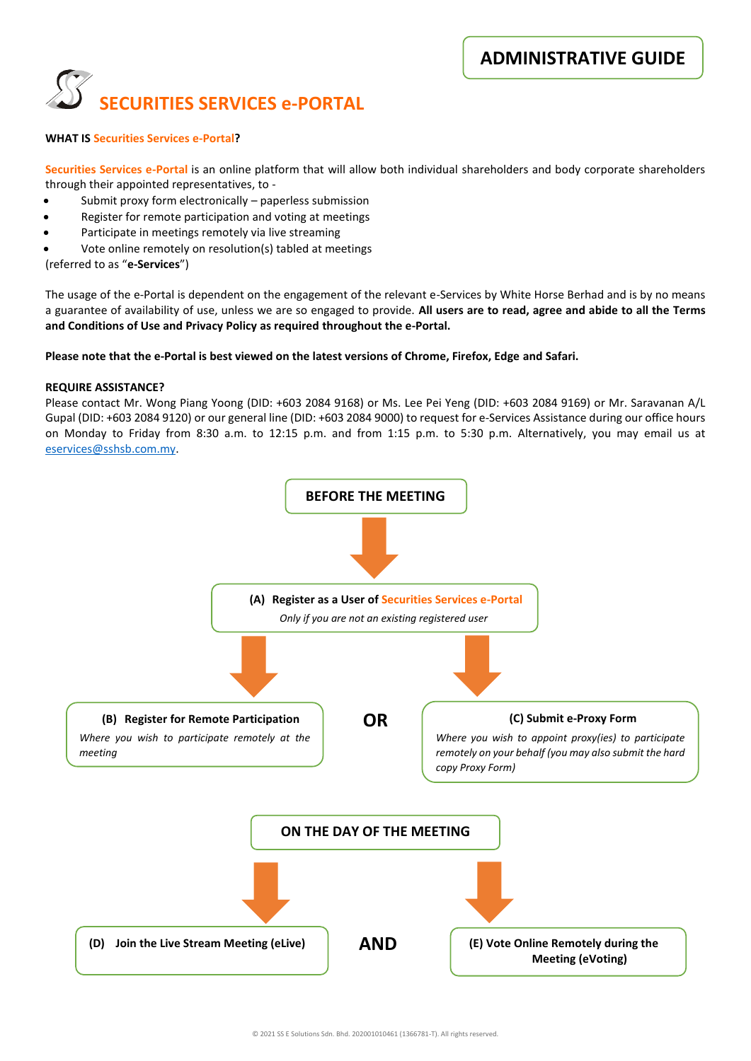

#### **WHAT IS Securities Services e-Portal?**

**Securities Services e-Portal** is an online platform that will allow both individual shareholders and body corporate shareholders through their appointed representatives, to -

- Submit proxy form electronically paperless submission
- Register for remote participation and voting at meetings
- Participate in meetings remotely via live streaming
- Vote online remotely on resolution(s) tabled at meetings

(referred to as "**e-Services**")

The usage of the e-Portal is dependent on the engagement of the relevant e-Services by White Horse Berhad and is by no means a guarantee of availability of use, unless we are so engaged to provide. **All users are to read, agree and abide to all the Terms and Conditions of Use and Privacy Policy as required throughout the e-Portal.**

#### **Please note that the e-Portal is best viewed on the latest versions of Chrome, Firefox, Edge and Safari.**

#### **REQUIRE ASSISTANCE?**

Please contact Mr. Wong Piang Yoong (DID: +603 2084 9168) or Ms. Lee Pei Yeng (DID: +603 2084 9169) or Mr. Saravanan A/L Gupal (DID: +603 2084 9120) or our general line (DID: +603 2084 9000) to request for e-Services Assistance during our office hours on Monday to Friday from 8:30 a.m. to 12:15 p.m. and from 1:15 p.m. to 5:30 p.m. Alternatively, you may email us at [eservices@sshsb.com.my.](mailto:eservices@sshsb.com.my)

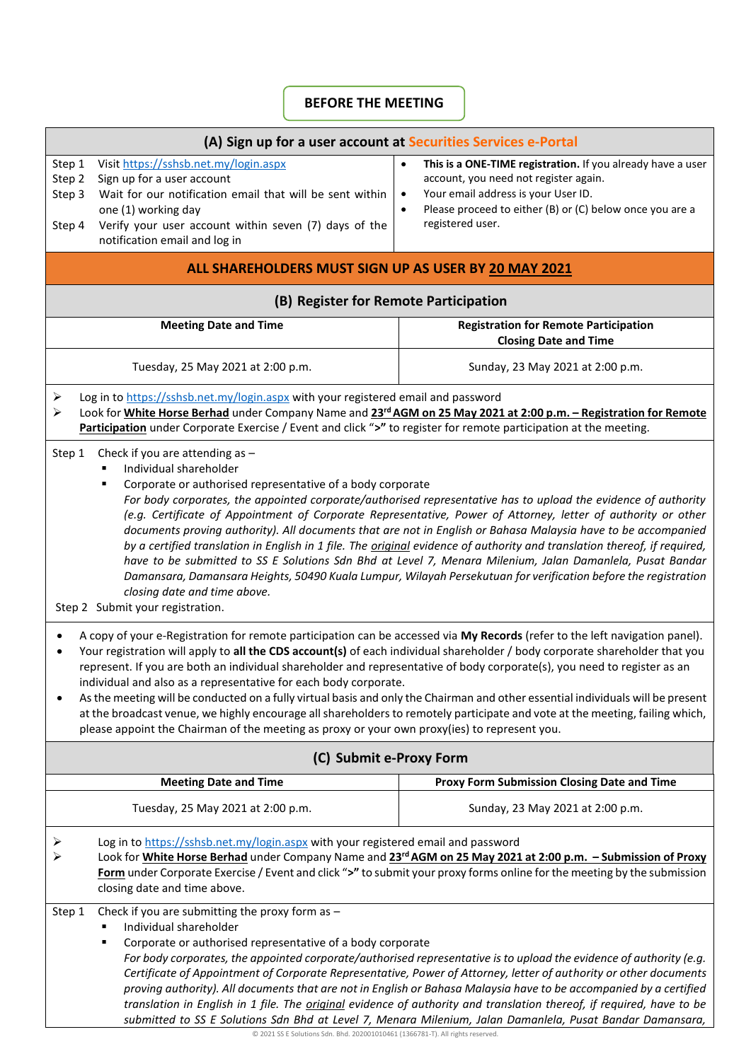## **BEFORE THE MEETING**

| (A) Sign up for a user account at Securities Services e-Portal                                                                                                                                                                                                                                                                                                                                                                                                                                                                                                                                                                                                                                                                                                                                                                                                                                                                                                                                                                                                                                                                                                                                                                                                                                                                                                                                                                                                                                                                               |                                                                                                                                                                                                                                                  |                                                                                                                                                                                                                                                                    |  |  |  |  |  |
|----------------------------------------------------------------------------------------------------------------------------------------------------------------------------------------------------------------------------------------------------------------------------------------------------------------------------------------------------------------------------------------------------------------------------------------------------------------------------------------------------------------------------------------------------------------------------------------------------------------------------------------------------------------------------------------------------------------------------------------------------------------------------------------------------------------------------------------------------------------------------------------------------------------------------------------------------------------------------------------------------------------------------------------------------------------------------------------------------------------------------------------------------------------------------------------------------------------------------------------------------------------------------------------------------------------------------------------------------------------------------------------------------------------------------------------------------------------------------------------------------------------------------------------------|--------------------------------------------------------------------------------------------------------------------------------------------------------------------------------------------------------------------------------------------------|--------------------------------------------------------------------------------------------------------------------------------------------------------------------------------------------------------------------------------------------------------------------|--|--|--|--|--|
| Step 1<br>Step 2<br>Step 3<br>Step 4                                                                                                                                                                                                                                                                                                                                                                                                                                                                                                                                                                                                                                                                                                                                                                                                                                                                                                                                                                                                                                                                                                                                                                                                                                                                                                                                                                                                                                                                                                         | Visit https://sshsb.net.my/login.aspx<br>Sign up for a user account<br>Wait for our notification email that will be sent within<br>one (1) working day<br>Verify your user account within seven (7) days of the<br>notification email and log in | This is a ONE-TIME registration. If you already have a user<br>$\bullet$<br>account, you need not register again.<br>Your email address is your User ID.<br>$\bullet$<br>Please proceed to either (B) or (C) below once you are a<br>$\bullet$<br>registered user. |  |  |  |  |  |
|                                                                                                                                                                                                                                                                                                                                                                                                                                                                                                                                                                                                                                                                                                                                                                                                                                                                                                                                                                                                                                                                                                                                                                                                                                                                                                                                                                                                                                                                                                                                              | ALL SHAREHOLDERS MUST SIGN UP AS USER BY 20 MAY 2021                                                                                                                                                                                             |                                                                                                                                                                                                                                                                    |  |  |  |  |  |
| (B) Register for Remote Participation                                                                                                                                                                                                                                                                                                                                                                                                                                                                                                                                                                                                                                                                                                                                                                                                                                                                                                                                                                                                                                                                                                                                                                                                                                                                                                                                                                                                                                                                                                        |                                                                                                                                                                                                                                                  |                                                                                                                                                                                                                                                                    |  |  |  |  |  |
|                                                                                                                                                                                                                                                                                                                                                                                                                                                                                                                                                                                                                                                                                                                                                                                                                                                                                                                                                                                                                                                                                                                                                                                                                                                                                                                                                                                                                                                                                                                                              | <b>Meeting Date and Time</b>                                                                                                                                                                                                                     | <b>Registration for Remote Participation</b><br><b>Closing Date and Time</b>                                                                                                                                                                                       |  |  |  |  |  |
|                                                                                                                                                                                                                                                                                                                                                                                                                                                                                                                                                                                                                                                                                                                                                                                                                                                                                                                                                                                                                                                                                                                                                                                                                                                                                                                                                                                                                                                                                                                                              | Tuesday, 25 May 2021 at 2:00 p.m.                                                                                                                                                                                                                | Sunday, 23 May 2021 at 2:00 p.m.                                                                                                                                                                                                                                   |  |  |  |  |  |
| Log in to https://sshsb.net.my/login.aspx with your registered email and password<br>➤<br>Look for White Horse Berhad under Company Name and 23rd AGM on 25 May 2021 at 2:00 p.m. - Registration for Remote<br>➤<br>Participation under Corporate Exercise / Event and click ">" to register for remote participation at the meeting.                                                                                                                                                                                                                                                                                                                                                                                                                                                                                                                                                                                                                                                                                                                                                                                                                                                                                                                                                                                                                                                                                                                                                                                                        |                                                                                                                                                                                                                                                  |                                                                                                                                                                                                                                                                    |  |  |  |  |  |
| Check if you are attending as -<br>Step 1<br>Individual shareholder<br>Corporate or authorised representative of a body corporate<br>п<br>For body corporates, the appointed corporate/authorised representative has to upload the evidence of authority<br>(e.g. Certificate of Appointment of Corporate Representative, Power of Attorney, letter of authority or other<br>documents proving authority). All documents that are not in English or Bahasa Malaysia have to be accompanied<br>by a certified translation in English in 1 file. The <i>original</i> evidence of authority and translation thereof, if required,<br>have to be submitted to SS E Solutions Sdn Bhd at Level 7, Menara Milenium, Jalan Damanlela, Pusat Bandar<br>Damansara, Damansara Heights, 50490 Kuala Lumpur, Wilayah Persekutuan for verification before the registration<br>closing date and time above.<br>Step 2 Submit your registration.<br>A copy of your e-Registration for remote participation can be accessed via My Records (refer to the left navigation panel).<br>٠<br>Your registration will apply to all the CDS account(s) of each individual shareholder / body corporate shareholder that you<br>٠<br>represent. If you are both an individual shareholder and representative of body corporate(s), you need to register as an<br>individual and also as a representative for each body corporate.<br>As the meeting will be conducted on a fully virtual basis and only the Chairman and other essential individuals will be present |                                                                                                                                                                                                                                                  |                                                                                                                                                                                                                                                                    |  |  |  |  |  |
|                                                                                                                                                                                                                                                                                                                                                                                                                                                                                                                                                                                                                                                                                                                                                                                                                                                                                                                                                                                                                                                                                                                                                                                                                                                                                                                                                                                                                                                                                                                                              | please appoint the Chairman of the meeting as proxy or your own proxy(ies) to represent you.                                                                                                                                                     | at the broadcast venue, we highly encourage all shareholders to remotely participate and vote at the meeting, failing which,                                                                                                                                       |  |  |  |  |  |
|                                                                                                                                                                                                                                                                                                                                                                                                                                                                                                                                                                                                                                                                                                                                                                                                                                                                                                                                                                                                                                                                                                                                                                                                                                                                                                                                                                                                                                                                                                                                              | (C) Submit e-Proxy Form                                                                                                                                                                                                                          |                                                                                                                                                                                                                                                                    |  |  |  |  |  |
|                                                                                                                                                                                                                                                                                                                                                                                                                                                                                                                                                                                                                                                                                                                                                                                                                                                                                                                                                                                                                                                                                                                                                                                                                                                                                                                                                                                                                                                                                                                                              | <b>Meeting Date and Time</b>                                                                                                                                                                                                                     | Proxy Form Submission Closing Date and Time                                                                                                                                                                                                                        |  |  |  |  |  |
|                                                                                                                                                                                                                                                                                                                                                                                                                                                                                                                                                                                                                                                                                                                                                                                                                                                                                                                                                                                                                                                                                                                                                                                                                                                                                                                                                                                                                                                                                                                                              | Tuesday, 25 May 2021 at 2:00 p.m.                                                                                                                                                                                                                | Sunday, 23 May 2021 at 2:00 p.m.                                                                                                                                                                                                                                   |  |  |  |  |  |
| Log in to https://sshsb.net.my/login.aspx with your registered email and password<br>➤<br>Look for White Horse Berhad under Company Name and 23 <sup>rd</sup> AGM on 25 May 2021 at 2:00 p.m. - Submission of Proxy<br>Form under Corporate Exercise / Event and click ">" to submit your proxy forms online for the meeting by the submission<br>closing date and time above.                                                                                                                                                                                                                                                                                                                                                                                                                                                                                                                                                                                                                                                                                                                                                                                                                                                                                                                                                                                                                                                                                                                                                               |                                                                                                                                                                                                                                                  |                                                                                                                                                                                                                                                                    |  |  |  |  |  |
| Check if you are submitting the proxy form as $-$<br>Step 1<br>Individual shareholder<br>Corporate or authorised representative of a body corporate<br>٠<br>For body corporates, the appointed corporate/authorised representative is to upload the evidence of authority (e.g.<br>Certificate of Appointment of Corporate Representative, Power of Attorney, letter of authority or other documents<br>proving authority). All documents that are not in English or Bahasa Malaysia have to be accompanied by a certified<br>translation in English in 1 file. The <i>original</i> evidence of authority and translation thereof, if required, have to be<br>submitted to SS E Solutions Sdn Bhd at Level 7, Menara Milenium, Jalan Damanlela, Pusat Bandar Damansara,                                                                                                                                                                                                                                                                                                                                                                                                                                                                                                                                                                                                                                                                                                                                                                      |                                                                                                                                                                                                                                                  |                                                                                                                                                                                                                                                                    |  |  |  |  |  |